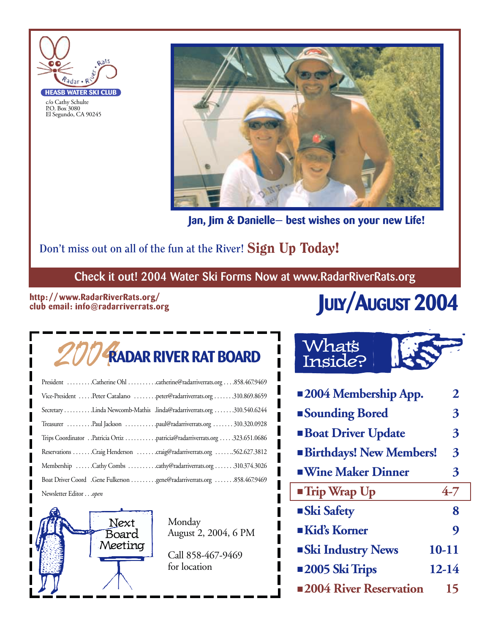# c/o Cathy Schulte P.O. Box 3080 El Segundo, CA 90245 **HEASB WATER SKI CLUB**



**Jan, Jim & Danielle— best wishes on your new Life!**

## Don't miss out on all of the fun at the River! Sign Up Today!

**Check it out! 2004 Water Ski Forms Now at www.RadarRiverRats.org**

### **http: //www.RadarRiverRats.org/ club email: info@radarriverrats.org**

## **JULY/AUGUST 2004**

## 2004**RADAR RIVER RAT BOARD**

| President Catherine Ohl catherine@radarriverrats.org858.467.9469          |
|---------------------------------------------------------------------------|
| Vice-President Peter Catalano peter@radarriverrats.org 310.869.8659       |
| Secretary Linda Newcomb-Mathis .linda@radarriverrats.org 310.540.6244     |
| Treasurer Paul Jackson paul@radarriverrats.org 310.320.0928               |
| Trips Coordinator Patricia Ortiz patricia@radarriverrats.org 323.651.0686 |
| Reservations Craig Henderson craig@radarriverrats.org 562.627.3812        |
| Membership Cathy Combs cathy@radarriverrats.org 310.374.3026              |
| Boat Driver Coord .Gene Fulkerson gene@radarriverrats.org 858.467.9469    |
| Newsletter Editor open                                                    |

Newsletter Editor . . .*open*



Monday August 2, 2004, 6 PM

Call 858-467-9469 for location

## What's Inside?

| <b>2004 Membership App.</b>    | 2                |
|--------------------------------|------------------|
| <b>Sounding Bored</b>          | 3                |
| <b>Boat Driver Update</b>      | 3                |
| <b>Birthdays! New Members!</b> | 3                |
| <b>Wine Maker Dinner</b>       | $\overline{3}$   |
| ■ Trip Wrap Up                 | $4 - 7$          |
| <b>Ski Safety</b>              | 8                |
| ■Kiďs Korner                   | $\boldsymbol{Q}$ |
| <b>Ski Industry News</b>       | $10-11$          |
| <b>2005 Ski Trips</b>          | $12 - 14$        |
| ■2004 River Reservation        | 15               |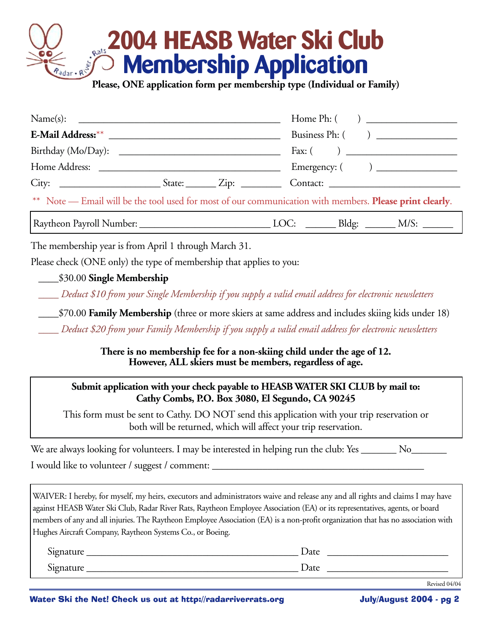## **2004 HEASB Water Ski Club Membership Application Please, ONE application form per membership type (Individual or Family)**

| Name(s):                                                                                                |  |  |  |  |                 |
|---------------------------------------------------------------------------------------------------------|--|--|--|--|-----------------|
|                                                                                                         |  |  |  |  | Business Ph: () |
|                                                                                                         |  |  |  |  |                 |
|                                                                                                         |  |  |  |  |                 |
|                                                                                                         |  |  |  |  |                 |
| ** Note — Email will be the tool used for most of our communication with members. Please print clearly. |  |  |  |  |                 |
|                                                                                                         |  |  |  |  |                 |

The membership year is from April 1 through March 31.

Please check (ONE only) the type of membership that applies to you:

\_\_\_\_\$30.00 **Single Membership**

*\_\_\_\_ Deduct \$10 from your Single Membership if you supply a valid email address for electronic newsletters*

\_\_\_\_\$70.00 **Family Membership** (three or more skiers at same address and includes skiing kids under 18)

*\_\_\_\_ Deduct \$20 from your Family Membership if you supply a valid email address for electronic newsletters*

**There is no membership fee for a non-skiing child under the age of 12. However, ALL skiers must be members, regardless of age.**

## **Submit application with your check payable to HEASB WATER SKI CLUB by mail to: Cathy Combs, P.O. Box 3080, El Segundo, CA 90245**

This form must be sent to Cathy. DO NOT send this application with your trip reservation or both will be returned, which will affect your trip reservation.

| We are always looking for volunteers. I may be interested in helping run the club: Yes _ |  |
|------------------------------------------------------------------------------------------|--|
| I would like to volunteer / suggest / comment:                                           |  |

WAIVER: I hereby, for myself, my heirs, executors and administrators waive and release any and all rights and claims I may have against HEASB Water Ski Club, Radar River Rats, Raytheon Employee Association (EA) or its representatives, agents, or board members of any and all injuries. The Raytheon Employee Association (EA) is a non-profit organization that has no association with Hughes Aircraft Company, Raytheon Systems Co., or Boeing.

| $\sim$<br>in<br>znatur<br>$\mathbf{u}$ | Date |
|----------------------------------------|------|
| $\sim$<br>10000<br>_ oigiiature        | Date |

Revised 04/04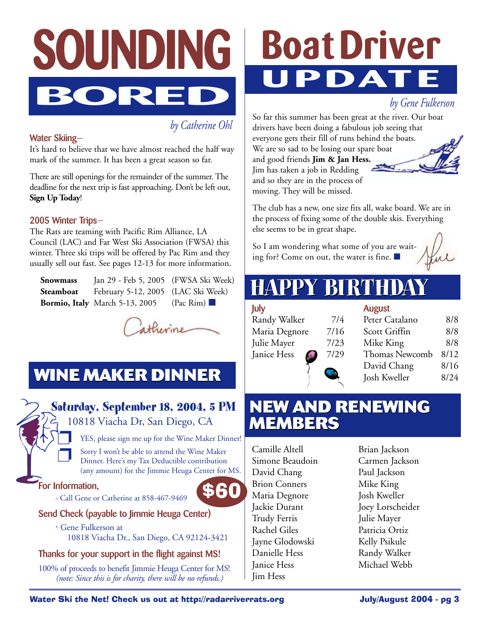

*by Catherine Ohl*

## **Water Skiing—**

It's hard to believe that we have almost reached the half way mark of the summer. It has been a great season so far.

There are still openings for the remainder of the summer. The deadline for the next trip is fast approaching. Don't be left out, **Sign Up Today**!

### **2005 Winter Trips—**

The Rats are teaming with Pacific Rim Alliance, LA Council (LAC) and Far West Ski Association (FWSA) this winter. Three ski trips will be offered by Pac Rim and they usually sell out fast. See pages 12-13 for more information.

| <b>Snowmass</b> | Jan 29 - Feb 5, 2005 (FWSA Ski Week)  |           |
|-----------------|---------------------------------------|-----------|
| Steamboat       | February 5-12, 2005 (LAC Ski Week)    |           |
|                 | <b>Bormio, Italy</b> March 5-13, 2005 | (Pac Rim) |

atherine

## **WINE MAKER DINNER**

## **Saturday, September 18, 2004, 5 PM**

10818 Viacha Dr, San Diego, CA

YES, please sign me up for the Wine Maker Dinner! Sorry I won't be able to attend the Wine Maker Dinner. Here's my Tax Deductible contribution (any amount) for the Jimmie Heuga Center for MS.

\$60

## **For Information,**

- Call Gene or Catherine at 858-467-9469

## **Send Check (payable to Jimmie Heuga Center)**

**-** Gene Fulkerson at 10818 Viacha Dr., San Diego, CA 92124-3421

## **Thanks for your support in the flight against MS!**

100% of proceeds to benefit Jimmie Heuga Center for MS! *(note: Since this is for charity, there will be no refunds.)*

# **Boat Driver DAT**

*by Gene Fulkerson*

So far this summer has been great at the river. Our boat drivers have been doing a fabulous job seeing that everyone gets their fill of runs behind the boats. We are so sad to be losing our spare boat and good friends **Jim & Jan Hess.** Jim has taken a job in Redding and so they are in the process of moving. They will be missed.

The club has a new, one size fits all, wake board. We are in the process of fixing some of the double skis. Everything else seems to be in great shape.

So I am wondering what some of you are waiting for? Come on out, the water is fine. ■

## **HAPPY BIRTHD**

**July** Randy Walker 7/4 Maria Degnore 7/16 Julie Mayer 7/23 Janice Hess 6 7/29

| <b>August</b>         |      |
|-----------------------|------|
| Peter Catalano        | 8/8  |
| Scott Griffin         | 8/8  |
| Mike King             | 8/8  |
| <b>Thomas Newcomb</b> | 8/12 |
| David Chang           | 8/16 |
| Josh Kweller          | 8/24 |
|                       |      |

## **NEW AND RENEWING NEW AND RENEWING MEMBERS MEMBERS**

Camille Altell Simone Beaudoin David Chang Brion Conners Maria Degnore Jackie Durant Trudy Ferris Rachel Giles Jayne Glodowski Danielle Hess Janice Hess Jim Hess

Brian Jackson Carmen Jackson Paul Jackson Mike King Josh Kweller Joey Lorscheider Julie Mayer Patricia Ortiz Kelly Psikule Randy Walker Michael Webb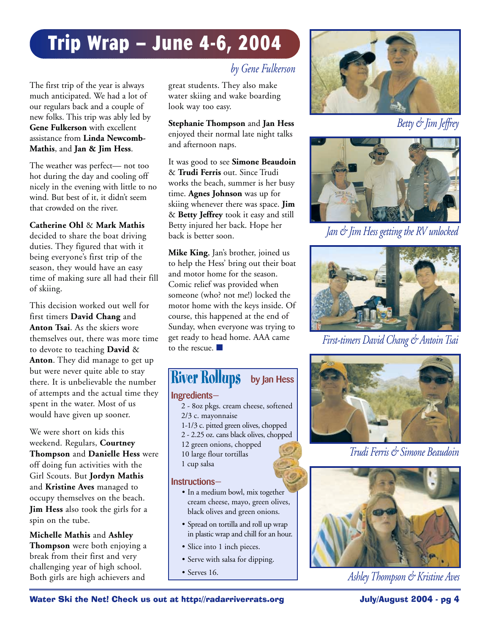## **Trip Wrap — June 4-6, 2004**

The first trip of the year is always much anticipated. We had a lot of our regulars back and a couple of new folks. This trip was ably led by **Gene Fulkerson** with excellent assistance from **Linda Newcomb-Mathis**, and **Jan & Jim Hess**.

The weather was perfect— not too hot during the day and cooling off nicely in the evening with little to no wind. But best of it, it didn't seem that crowded on the river.

**Catherine Ohl** & **Mark Mathis** decided to share the boat driving duties. They figured that with it being everyone's first trip of the season, they would have an easy time of making sure all had their fill of skiing.

This decision worked out well for first timers **David Chang** and **Anton Tsai**. As the skiers wore themselves out, there was more time to devote to teaching **David** & **Anton**. They did manage to get up but were never quite able to stay there. It is unbelievable the number of attempts and the actual time they spent in the water. Most of us would have given up sooner.

We were short on kids this weekend. Regulars, **Courtney Thompson** and **Danielle Hess** were off doing fun activities with the Girl Scouts. But **Jordyn Mathis** and **Kristine Aves** managed to occupy themselves on the beach. **Jim Hess** also took the girls for a spin on the tube.

**Michelle Mathis** and **Ashley Thompson** were both enjoying a break from their first and very challenging year of high school. Both girls are high achievers and

## *by Gene Fulkerson*

great students. They also make water skiing and wake boarding look way too easy.

**Stephanie Thompson** and **Jan Hess** enjoyed their normal late night talks and afternoon naps.

It was good to see **Simone Beaudoin** & **Trudi Ferris** out. Since Trudi works the beach, summer is her busy time. **Agnes Johnson** was up for skiing whenever there was space. **Jim** & **Betty Jeffrey** took it easy and still Betty injured her back. Hope her back is better soon.

**Mike King**, Jan's brother, joined us to help the Hess' bring out their boat and motor home for the season. Comic relief was provided when someone (who? not me!) locked the motor home with the keys inside. Of course, this happened at the end of Sunday, when everyone was trying to get ready to head home. AAA came to the rescue. ■

## **River Rollups by Jan Hess**

### **Ingredients—**

- 2 8oz pkgs. cream cheese, softened 2/3 c. mayonnaise
- 1-1/3 c. pitted green olives, chopped
- 2 2.25 oz. cans black olives, chopped
- 12 green onions, chopped
- 10 large flour tortillas
- 1 cup salsa

### **Instructions—**

- In a medium bowl, mix together cream cheese, mayo, green olives, black olives and green onions.
- Spread on tortilla and roll up wrap in plastic wrap and chill for an hour.
- Slice into 1 inch pieces.
- Serve with salsa for dipping.
- Serves 16.



*Betty & Jim Jeffrey*



*Jan & Jim Hess getting the RV unlocked*



*First-timers David Chang & Antoin Tsai*



*Trudi Ferris & Simone Beaudoin*



*Ashley Thompson & Kristine Aves*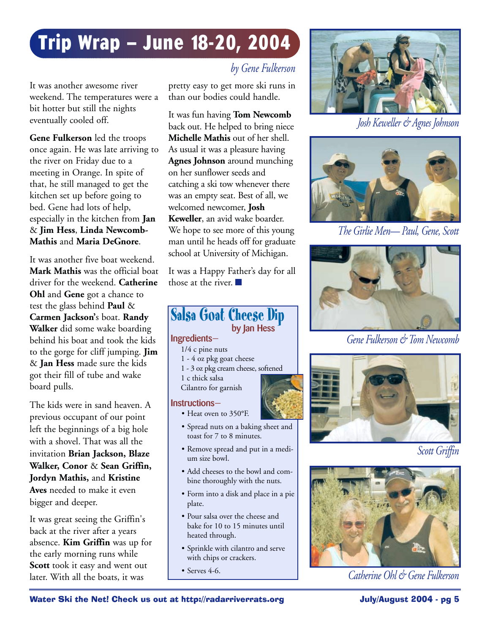## **Trip Wrap — June 18-20, 2004**

It was another awesome river weekend. The temperatures were a bit hotter but still the nights eventually cooled off.

**Gene Fulkerson** led the troops once again. He was late arriving to the river on Friday due to a meeting in Orange. In spite of that, he still managed to get the kitchen set up before going to bed. Gene had lots of help, especially in the kitchen from **Jan** & **Jim Hess**, **Linda Newcomb-Mathis** and **Maria DeGnore**.

It was another five boat weekend. **Mark Mathis** was the official boat driver for the weekend. **Catherine Ohl** and **Gene** got a chance to test the glass behind **Paul** & **Carmen Jackson'**s boat. **Randy Walker** did some wake boarding behind his boat and took the kids to the gorge for cliff jumping. **Jim** & **Jan Hess** made sure the kids got their fill of tube and wake board pulls.

The kids were in sand heaven. A previous occupant of our point left the beginnings of a big hole with a shovel. That was all the invitation **Brian Jackson, Blaze Walker, Conor** & **Sean Griffin, Jordyn Mathis,** and **Kristine Aves** needed to make it even bigger and deeper.

It was great seeing the Griffin's back at the river after a years absence. **Kim Griffin** was up for the early morning runs while **Scott** took it easy and went out later. With all the boats, it was

## *by Gene Fulkerson*

pretty easy to get more ski runs in than our bodies could handle.

It was fun having **Tom Newcomb** back out. He helped to bring niece **Michelle Mathis** out of her shell. As usual it was a pleasure having **Agnes Johnson** around munching on her sunflower seeds and catching a ski tow whenever there was an empty seat. Best of all, we welcomed newcomer, **Josh Keweller**, an avid wake boarder. We hope to see more of this young man until he heads off for graduate school at University of Michigan.

It was a Happy Father's day for all those at the river. ■

## **Salsa Goat Cheese Dip by Jan Hess**

### **Ingredients—**

- 1/4 c pine nuts
- 1 4 oz pkg goat cheese
- 1 3 oz pkg cream cheese, softened
- 1 c thick salsa
- Cilantro for garnish

### **Instructions—**

- Heat oven to 350°F.
- Spread nuts on a baking sheet and toast for 7 to 8 minutes.
- Remove spread and put in a medium size bowl.
- Add cheeses to the bowl and combine thoroughly with the nuts.
- Form into a disk and place in a pie plate.
- Pour salsa over the cheese and bake for 10 to 15 minutes until heated through.
- Sprinkle with cilantro and serve with chips or crackers.
- Serves 4-6.



*Josh Keweller & Agnes Johnson*



*The Girlie Men— Paul, Gene, Scott*



*Gene Fulkerson & Tom Newcomb*



*Scott Griffin*



*Catherine Ohl & Gene Fulkerson*

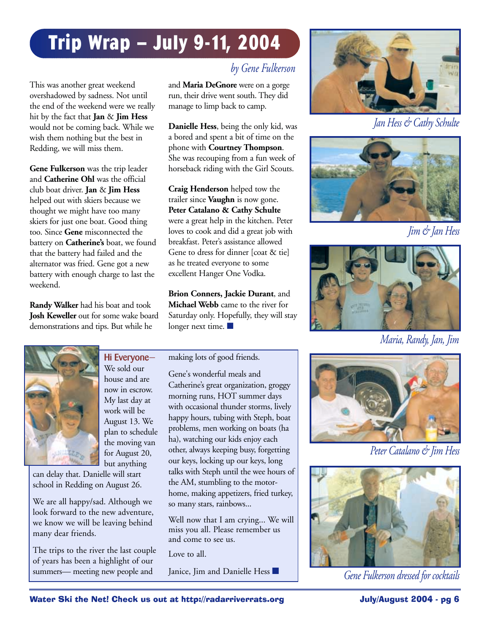## **Trip Wrap — July 9-11, 2004**

This was another great weekend overshadowed by sadness. Not until the end of the weekend were we really hit by the fact that **Jan** & **Jim Hess** would not be coming back. While we wish them nothing but the best in Redding, we will miss them.

**Gene Fulkerson** was the trip leader and **Catherine Ohl** was the official club boat driver. **Jan** & **Jim Hess** helped out with skiers because we thought we might have too many skiers for just one boat. Good thing too. Since **Gene** misconnected the battery on **Catherine's** boat, we found that the battery had failed and the alternator was fried. Gene got a new battery with enough charge to last the weekend.

**Randy Walker** had his boat and took **Josh Keweller** out for some wake board demonstrations and tips. But while he

## *by Gene Fulkerson*

and **Maria DeGnore** were on a gorge run, their drive went south. They did manage to limp back to camp.

**Danielle Hess**, being the only kid, was a bored and spent a bit of time on the phone with **Courtney Thompson**. She was recouping from a fun week of horseback riding with the Girl Scouts.

**Craig Henderson** helped tow the trailer since **Vaughn** is now gone. **Peter Catalano & Cathy Schulte** were a great help in the kitchen. Peter loves to cook and did a great job with breakfast. Peter's assistance allowed Gene to dress for dinner [coat & tie] as he treated everyone to some excellent Hanger One Vodka.

**Brion Conners, Jackie Durant**, and **Michael Webb** came to the river for Saturday only. Hopefully, they will stay longer next time. ■



*Jan Hess & Cathy Schulte*



*Jim & Jan Hess*



*Maria, Randy, Jan, Jim*



**Hi Everyone—** We sold our house and are now in escrow. My last day at work will be August 13. We plan to schedule the moving van for August 20, but anything

can delay that. Danielle will start school in Redding on August 26.

We are all happy/sad. Although we look forward to the new adventure, we know we will be leaving behind many dear friends.

The trips to the river the last couple of years has been a highlight of our summers— meeting new people and

making lots of good friends.

Gene's wonderful meals and Catherine's great organization, groggy morning runs, HOT summer days with occasional thunder storms, lively happy hours, tubing with Steph, boat problems, men working on boats (ha ha), watching our kids enjoy each other, always keeping busy, forgetting our keys, locking up our keys, long talks with Steph until the wee hours of the AM, stumbling to the motorhome, making appetizers, fried turkey, so many stars, rainbows...

Well now that I am crying... We will miss you all. Please remember us and come to see us.

Love to all.

Janice, Jim and Danielle Hess ■



*Peter Catalano & Jim Hess*



*Gene Fulkerson dressed for cocktails*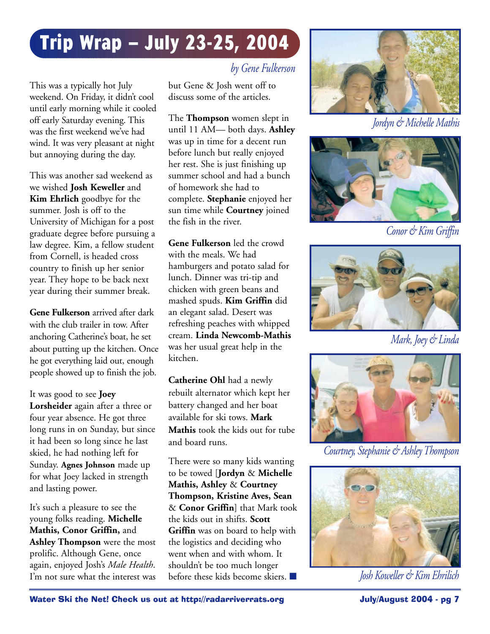## **Trip Wrap — July 23-25, 2004**

This was a typically hot July weekend. On Friday, it didn't cool until early morning while it cooled off early Saturday evening. This was the first weekend we've had wind. It was very pleasant at night but annoying during the day.

This was another sad weekend as we wished **Josh Keweller** and **Kim Ehrlich** goodbye for the summer. Josh is off to the University of Michigan for a post graduate degree before pursuing a law degree. Kim, a fellow student from Cornell, is headed cross country to finish up her senior year. They hope to be back next year during their summer break.

**Gene Fulkerson** arrived after dark with the club trailer in tow. After anchoring Catherine's boat, he set about putting up the kitchen. Once he got everything laid out, enough people showed up to finish the job.

It was good to see **Joey Lorsheider** again after a three or four year absence. He got three long runs in on Sunday, but since it had been so long since he last skied, he had nothing left for Sunday. **Agnes Johnson** made up for what Joey lacked in strength and lasting power.

It's such a pleasure to see the young folks reading. **Michelle Mathis, Conor Griffin,** and **Ashley Thompson** were the most prolific. Although Gene, once again, enjoyed Josh's *Male Health*. I'm not sure what the interest was

## *by Gene Fulkerson*

but Gene & Josh went off to discuss some of the articles.

The **Thompson** women slept in until 11 AM— both days. **Ashley** was up in time for a decent run before lunch but really enjoyed her rest. She is just finishing up summer school and had a bunch of homework she had to complete. **Stephanie** enjoyed her sun time while **Courtney** joined the fish in the river.

**Gene Fulkerson** led the crowd with the meals. We had hamburgers and potato salad for lunch. Dinner was tri-tip and chicken with green beans and mashed spuds. **Kim Griffin** did an elegant salad. Desert was refreshing peaches with whipped cream. **Linda Newcomb-Mathis** was her usual great help in the kitchen.

**Catherine Ohl** had a newly rebuilt alternator which kept her battery changed and her boat available for ski tows. **Mark Mathis** took the kids out for tube and board runs.

There were so many kids wanting to be towed [**Jordyn** & **Michelle Mathis, Ashley** & **Courtney Thompson, Kristine Aves, Sean** & **Conor Griffin**] that Mark took the kids out in shifts. **Scott Griffin** was on board to help with the logistics and deciding who went when and with whom. It shouldn't be too much longer before these kids become skiers. ■



*Jordyn & Michelle Mathis*



*Conor & Kim Griffin*



*Mark, Joey & Linda*



*Courtney, Stephanie & Ashley Thompson*



*Josh Koweller & Kim Ehrilich*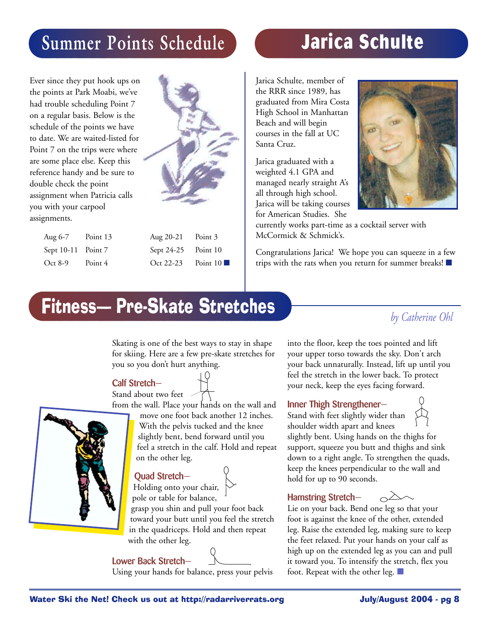## **Summer Points Schedule**

Ever since they put hook ups on the points at Park Moabi, we've had trouble scheduling Point 7 on a regular basis. Below is the schedule of the points we have to date. We are waited-listed for Point 7 on the trips were where are some place else. Keep this reference handy and be sure to double check the point assignment when Patricia calls you with your carpool assignments.



| Aug 6-7              | Point 13 | Aug $20-21$ Point 3   |  |
|----------------------|----------|-----------------------|--|
| Sept $10-11$ Point 7 |          | Sept $24-25$ Point 10 |  |
| Oct 8-9              | Point 4  | Oct 22-23 Point $10$  |  |

## **Jarica Schulte**

Jarica Schulte, member of the RRR since 1989, has graduated from Mira Costa High School in Manhattan Beach and will begin courses in the fall at UC Santa Cruz.

Jarica graduated with a weighted 4.1 GPA and managed nearly straight A's all through high school. Jarica will be taking courses for American Studies. She



currently works part-time as a cocktail server with McCormick & Schmick's.

Congratulations Jarica! We hope you can squeeze in a few trips with the rats when you return for summer breaks! ■

## *by Catherine Ohl* Fitness— Pre-Skate Stretches

Skating is one of the best ways to stay in shape for skiing. Here are a few pre-skate stretches for you so you don't hurt anything.

## **Calf Stretch—**

Stand about two feet

from the wall. Place your hands on the wall and



move one foot back another 12 inches. With the pelvis tucked and the knee slightly bent, bend forward until you feel a stretch in the calf. Hold and repeat on the other leg.

## **Quad Stretch—**



Holding onto your chair, pole or table for balance, grasp you shin and pull your foot back toward your butt until you feel the stretch

in the quadriceps. Hold and then repeat with the other leg.

## **Lower Back Stretch—**

Using your hands for balance, press your pelvis

into the floor, keep the toes pointed and lift your upper torso towards the sky. Don't arch your back unnaturally. Instead, lift up until you feel the stretch in the lower back. To protect your neck, keep the eyes facing forward.

## **Inner Thigh Strengthener—**

Stand with feet slightly wider than

shoulder width apart and knees slightly bent. Using hands on the thighs for support, squeeze you butt and thighs and sink down to a right angle. To strengthen the quads, keep the knees perpendicular to the wall and hold for up to 90 seconds.

## **Hamstring Stretch—**



Lie on your back. Bend one leg so that your foot is against the knee of the other, extended leg. Raise the extended leg, making sure to keep the feet relaxed. Put your hands on your calf as high up on the extended leg as you can and pull it toward you. To intensify the stretch, flex you foot. Repeat with the other leg. ■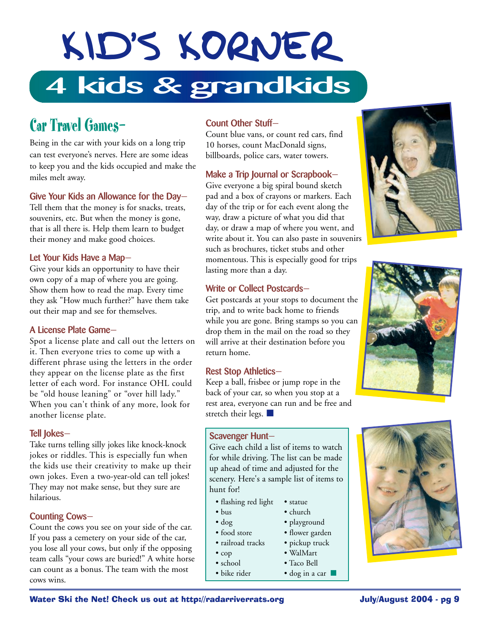# KID'S KORNER **4 kids & grandkids**

## **Car Travel Games—**

Being in the car with your kids on a long trip can test everyone's nerves. Here are some ideas to keep you and the kids occupied and make the miles melt away.

## **Give Your Kids an Allowance for the Day—**

Tell them that the money is for snacks, treats, souvenirs, etc. But when the money is gone, that is all there is. Help them learn to budget their money and make good choices.

## **Let Your Kids Have a Map—**

Give your kids an opportunity to have their own copy of a map of where you are going. Show them how to read the map. Every time they ask "How much further?" have them take out their map and see for themselves.

### **A License Plate Game—**

Spot a license plate and call out the letters on it. Then everyone tries to come up with a different phrase using the letters in the order they appear on the license plate as the first letter of each word. For instance OHL could be "old house leaning" or "over hill lady." When you can't think of any more, look for another license plate.

### **Tell Jokes—**

Take turns telling silly jokes like knock-knock jokes or riddles. This is especially fun when the kids use their creativity to make up their own jokes. Even a two-year-old can tell jokes! They may not make sense, but they sure are hilarious.

## **Counting Cows—**

Count the cows you see on your side of the car. If you pass a cemetery on your side of the car, you lose all your cows, but only if the opposing team calls "your cows are buried!" A white horse can count as a bonus. The team with the most cows wins.

## **Count Other Stuff—**

Count blue vans, or count red cars, find 10 horses, count MacDonald signs, billboards, police cars, water towers.

## **Make a Trip Journal or Scrapbook—**

Give everyone a big spiral bound sketch pad and a box of crayons or markers. Each day of the trip or for each event along the way, draw a picture of what you did that day, or draw a map of where you went, and write about it. You can also paste in souvenirs such as brochures, ticket stubs and other momentous. This is especially good for trips lasting more than a day.

## **Write or Collect Postcards—**

Get postcards at your stops to document the trip, and to write back home to friends while you are gone. Bring stamps so you can drop them in the mail on the road so they will arrive at their destination before you return home.

## **Rest Stop Athletics—**

Keep a ball, frisbee or jump rope in the back of your car, so when you stop at a rest area, everyone can run and be free and stretch their legs.  $\blacksquare$ 

## **Scavenger Hunt—**

Give each child a list of items to watch for while driving. The list can be made up ahead of time and adjusted for the scenery. Here's a sample list of items to hunt for!

> • church • playground • flower garden • pickup truck • WalMart • Taco Bell • dog in a car

- flashing red light • statue
- bus
- dog
- food store
- railroad tracks
- cop
- school
- bike rider





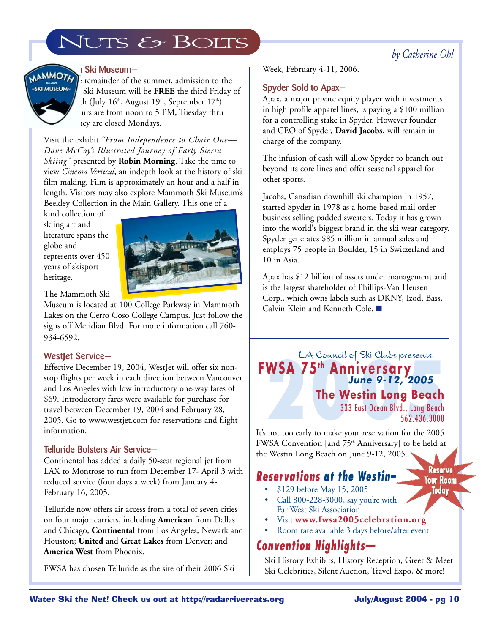## NUTS & BOLTS

## *by Catherine Ohl*



 $\begin{bmatrix} \text{ADM1} \\ \text{DEUM} \end{bmatrix}$ : remainder of the summer, admission to the summary sull be EREE the third Eriday Ski Museum will be **FREE** the third Friday of th (July 16<sup>th</sup>, August 19<sup>th</sup>, September 17<sup>th</sup>). urs are from noon to 5 PM, Tuesday thru tey are closed Mondays.

Visit the exhibit *"From Independence to Chair One— Dave McCoy's Illustrated Journey of Early Sierra Skiing"* presented by **Robin Morning**. Take the time to view *Cinema Vertical*, an indepth look at the history of ski film making. Film is approximately an hour and a half in length. Visitors may also explore Mammoth Ski Museum's Beekley Collection in the Main Gallery. This one of a

kind collection of skiing art and literature spans the globe and represents over 450 years of skisport heritage.



The Mammoth Ski

Museum is located at 100 College Parkway in Mammoth Lakes on the Cerro Coso College Campus. Just follow the signs off Meridian Blvd. For more information call 760- 934-6592.

## **WestJet Service—**

Effective December 19, 2004, WestJet will offer six nonstop flights per week in each direction between Vancouver and Los Angeles with low introductory one-way fares of \$69. Introductory fares were available for purchase for travel between December 19, 2004 and February 28, 2005. Go to www.westjet.com for reservations and flight information.

## **Telluride Bolsters Air Service—**

Continental has added a daily 50-seat regional jet from LAX to Montrose to run from December 17- April 3 with reduced service (four days a week) from January 4- February 16, 2005.

Telluride now offers air access from a total of seven cities on four major carriers, including **American** from Dallas and Chicago; **Continental** from Los Angeles, Newark and Houston; **United** and **Great Lakes** from Denver; and **America West** from Phoenix.

FWSA has chosen Telluride as the site of their 2006 Ski

Week, February 4-11, 2006.

## **Spyder Sold to Apax—**

Apax, a major private equity player with investments in high profile apparel lines, is paying a \$100 million for a controlling stake in Spyder. However founder and CEO of Spyder, **David Jacobs**, will remain in charge of the company.

The infusion of cash will allow Spyder to branch out beyond its core lines and offer seasonal apparel for other sports.

Jacobs, Canadian downhill ski champion in 1957, started Spyder in 1978 as a home based mail order business selling padded sweaters. Today it has grown into the world's biggest brand in the ski wear category. Spyder generates \$85 million in annual sales and employs 75 people in Boulder, 15 in Switzerland and 10 in Asia.

Apax has \$12 billion of assets under management and is the largest shareholder of Phillips-Van Heusen Corp., which owns labels such as DKNY, Izod, Bass, Calvin Klein and Kenneth Cole. ■

## **2005**<br> **2005**<br> **2005**<br> **2005**<br> **2005**<br> **2005**<br> **2005**<br> **2005**<br> **2005**<br> **2005**<br> **2005**<br> **2005**<br> **2005**<br> **2005**<br> **2005**<br> **2005**<br> **2005**<br> **2005**<br> **2005**<br> **2005**<br> **2005**<br> **2005**<br> **2005**<br> **2005**<br> **2005**<br> **2005**<br> **2005**<br> **2005** LA Council of Ski Clubs presents *June 9-12, 2005* **The Westin Long Beach**

333 East Ocean Blvd., Long Beach 562.436.3000

> **Reserve Your Room Today**

It's not too early to make your reservation for the 2005 FWSA Convention [and 75<sup>th</sup> Anniversary] to be held at the Westin Long Beach on June 9-12, 2005.

## *Reservations at the Westin–*

- \$129 before May 15, 2005
- Call 800-228-3000, say you're with Far West Ski Association
- Visit **www.fwsa2005celebration.org**
- Room rate available 3 days before/after event

## *Convention Highlights—*

Ski History Exhibits, History Reception, Greet & Meet Ski Celebrities, Silent Auction, Travel Expo, & more!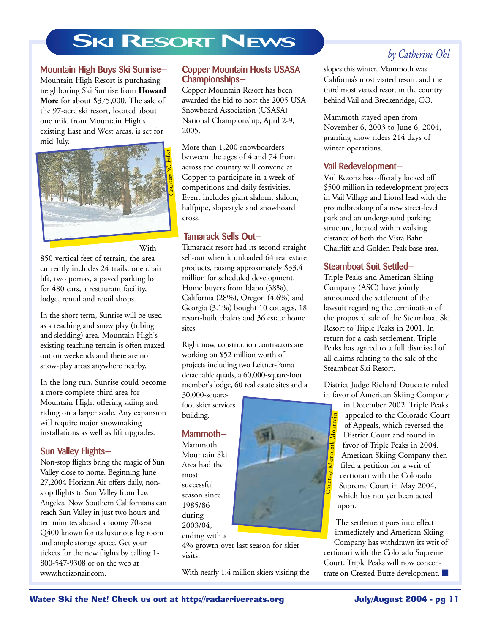## **SKI RESORT NEWS**

### **Mountain High Buys Ski Sunrise—**

Mountain High Resort is purchasing neighboring Ski Sunrise from **Howard More** for about \$375,000. The sale of the 97-acre ski resort, located about one mile from Mountain High's existing East and West areas, is set for mid-July.



With

850 vertical feet of terrain, the area currently includes 24 trails, one chair lift, two pomas, a paved parking lot for 480 cars, a restaurant facility, lodge, rental and retail shops.

In the short term, Sunrise will be used as a teaching and snow play (tubing and sledding) area. Mountain High's existing teaching terrain is often maxed out on weekends and there are no snow-play areas anywhere nearby.

In the long run, Sunrise could become a more complete third area for Mountain High, offering skiing and riding on a larger scale. Any expansion will require major snowmaking installations as well as lift upgrades.

### **Sun Valley Flights—**

Non-stop flights bring the magic of Sun Valley close to home. Beginning June 27,2004 Horizon Air offers daily, nonstop flights to Sun Valley from Los Angeles. Now Southern Californians can reach Sun Valley in just two hours and ten minutes aboard a roomy 70-seat Q400 known for its luxurious leg room and ample storage space. Get your tickets for the new flights by calling 1- 800-547-9308 or on the web at www.horizonair.com.

### **Copper Mountain Hosts USASA Championships—**

Copper Mountain Resort has been awarded the bid to host the 2005 USA Snowboard Association (USASA) National Championship, April 2-9, 2005.

More than 1,200 snowboarders between the ages of 4 and 74 from across the country will convene at Copper to participate in a week of competitions and daily festivities. Event includes giant slalom, slalom, halfpipe, slopestyle and snowboard cross.

### **Tamarack Sells Out—**

Tamarack resort had its second straight sell-out when it unloaded 64 real estate products, raising approximately \$33.4 million for scheduled development. Home buyers from Idaho (58%), California (28%), Oregon (4.6%) and Georgia (3.1%) bought 10 cottages, 18 resort-built chalets and 36 estate home sites.

Right now, construction contractors are working on \$52 million worth of projects including two Leitner-Poma detachable quads, a 60,000-square-foot member's lodge, 60 real estate sites and a

30,000-squarefoot skier services building.

### **Mammoth—**

Mammoth Mountain Ski Area had the most successful season since 1985/86 during 2003/04, ending with a

4% growth over last season for skier visits.

With nearly 1.4 million skiers visiting the



slopes this winter, Mammoth was California's most visited resort, and the third most visited resort in the country behind Vail and Breckenridge, CO.

Mammoth stayed open from November 6, 2003 to June 6, 2004, granting snow riders 214 days of winter operations.

### **Vail Redevelopment—**

Vail Resorts has officially kicked off \$500 million in redevelopment projects in Vail Village and LionsHead with the groundbreaking of a new street-level park and an underground parking structure, located within walking distance of both the Vista Bahn Chairlift and Golden Peak base area.

### **Steamboat Suit Settled—**

Triple Peaks and American Skiing Company (ASC) have jointly announced the settlement of the lawsuit regarding the termination of the proposed sale of the Steamboat Ski Resort to Triple Peaks in 2001. In return for a cash settlement, Triple Peaks has agreed to a full dismissal of all claims relating to the sale of the Steamboat Ski Resort.

District Judge Richard Doucette ruled in favor of American Skiing Company

> in December 2002. Triple Peaks appealed to the Colorado Court of Appeals, which reversed the District Court and found in favor of Triple Peaks in 2004. American Skiing Company then filed a petition for a writ of certiorari with the Colorado Supreme Court in May 2004, which has not yet been acted upon.

The settlement goes into effect immediately and American Skiing

Company has withdrawn its writ of certiorari with the Colorado Supreme Court. Triple Peaks will now concentrate on Crested Butte development. ■

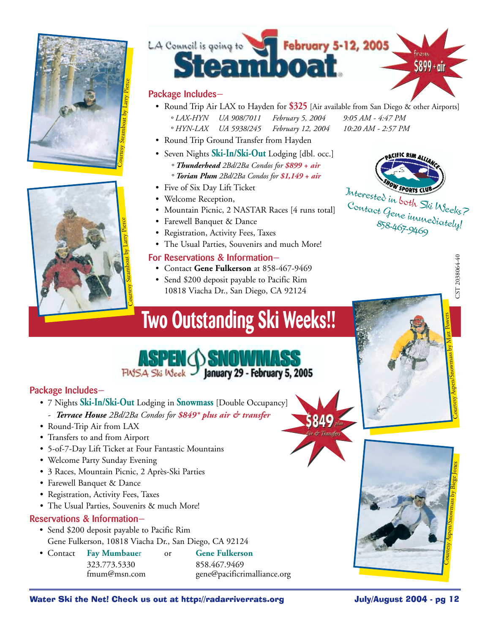





### **Package Includes—**

- Round Trip Air LAX to Hayden for **\$325** [Air available from San Diego & other Airports] *° LAX-HYN UA 908/7011 February 5, 2004 9:05 AM - 4:47 PM ° HYN-LAX UA 5938/245 February 12, 2004 10:20 AM - 2:57 PM*
- Round Trip Ground Transfer from Hayden
- Seven Nights **Ski-In/Ski-Out** Lodging [dbl. occ.] *° Thunderhead 2Bd/2Ba Condos for \$899 + air ° Torian Plum 2Bd/2Ba Condos for \$1,149 + air*
- Five of Six Day Lift Ticket
- Welcome Reception,
- Mountain Picnic, 2 NASTAR Races [4 runs total]
- Farewell Banquet & Dance
- Registration, Activity Fees, Taxes
- The Usual Parties, Souvenirs and much More!

### **For Reservations & Information—**

- Contact **Gene Fulkerson** at 858-467-9469
- Send \$200 deposit payable to Pacific Rim 10818 Viacha Dr., San Diego, CA 92124

## **Two Outstanding Ski Weeks!!**

# **ASPEN SWOWMASS**<br>FWSA Ski Week January 29 - February 5, 2005

## **Package Includes—**

- 7 Nights **Ski-In/Ski-Out** Lodging in **Snowmass** [Double Occupancy]
	- *- Terrace House 2Bd/2Ba Condos for \$849\* plus air & transfer*
- Round-Trip Air from LAX
- Transfers to and from Airport
- 5-of-7-Day Lift Ticket at Four Fantastic Mountains
- Welcome Party Sunday Evening
- 3 Races, Mountain Picnic, 2 Après-Ski Parties
- Farewell Banquet & Dance
- Registration, Activity Fees, Taxes
- The Usual Parties, Souvenirs & much More!

### **Reservations & Information—**

- Send \$200 deposit payable to Pacific Rim Gene Fulkerson, 10818 Viacha Dr., San Diego, CA 92124
- Contact **Fay Mumbaue**r or **Gene Fulkerson** 323.773.5330 858.467.9469<br>fmum@msn.com gene@pacificri

gene@pacificrimalliance.org



CST 2038064-40 CST 2038064-40



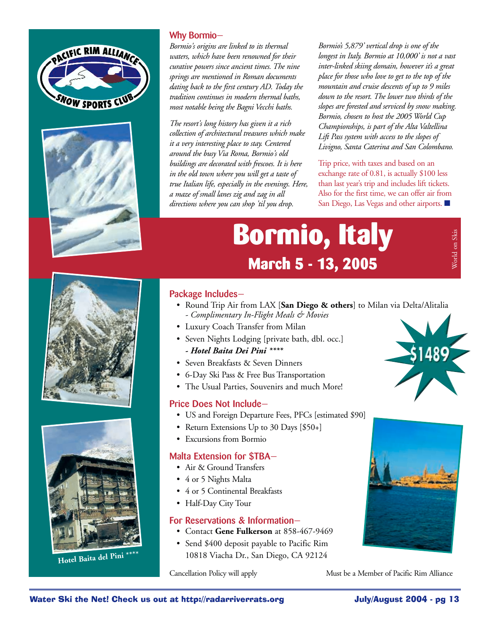



### **Why Bormio—**

*Bormio's origins are linked to its thermal waters, which have been renowned for their curative powers since ancient times. The nine springs are mentioned in Roman documents dating back to the first century AD. Today the tradition continues in modern thermal baths, most notable being the Bagni Vecchi baths.* 

*The resort's long history has given it a rich collection of architectural treasures which make it a very interesting place to stay. Centered around the busy Via Roma, Bormio's old buildings are decorated with frescoes. It is here in the old town where you will get a taste of true Italian life, especially in the evenings. Here, a maze of small lanes zig and zag in all directions where you can shop 'til you drop.*

*Bormio's 5,879' vertical drop is one of the longest in Italy. Bormio at 10,000' is not a vast inter-linked skiing domain, however it's a great place for those who love to get to the top of the mountain and cruise descents of up to 9 miles down to the resort. The lower two thirds of the slopes are forested and serviced by snow making. Bormio, chosen to host the 2005 World Cup Championships, is part of the Alta Valtellina Lift Pass system with access to the slopes of Livigno, Santa Caterina and San Colombano.* 

Trip price, with taxes and based on an exchange rate of 0.81, is actually \$100 less than last year's trip and includes lift tickets. Also for the first time, we can offer air from San Diego, Las Vegas and other airports. ■

## **Bormio, Italy March 5 - 13, 2005**





**Hotel Baita del Pini \*\*\*\***

### **Package Includes—**

- Round Trip Air from LAX [**San Diego & others**] to Milan via Delta/Alitalia *- Complimentary In-Flight Meals & Movies*
- Luxury Coach Transfer from Milan
- Seven Nights Lodging [private bath, dbl. occ.] *- Hotel Baita Dei Pini \*\*\*\**
- Seven Breakfasts & Seven Dinners
- 6-Day Ski Pass & Free Bus Transportation
- The Usual Parties, Souvenirs and much More!

### **Price Does Not Include—**

- US and Foreign Departure Fees, PFCs [estimated \$90]
- Return Extensions Up to 30 Days [\$50+]
- Excursions from Bormio

### **Malta Extension for \$TBA—**

- Air & Ground Transfers
- 4 or 5 Nights Malta
- 4 or 5 Continental Breakfasts
- Half-Day City Tour

### **For Reservations & Information—**

- Contact **Gene Fulkerson** at 858-467-9469
- Send \$400 deposit payable to Pacific Rim 10818 Viacha Dr., San Diego, CA 92124



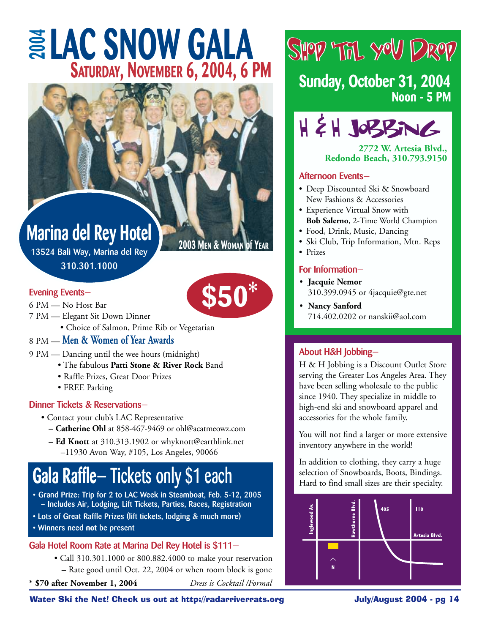# **2004 LAC SNOW GALA SATURDAY, NOVEMBER 6, 2004, 6 PM**

## **Marina del Rey Hotel**

**13524 Bali Way, Marina del Rey**

**310.301.1000**

### **Evening Events—**

- 6 PM No Host Bar
- 7 PM Elegant Sit Down Dinner
	- Choice of Salmon, Prime Rib or Vegetarian

## 8 PM — **Men & Women of Year Awards**

- 9 PM Dancing until the wee hours (midnight)
	- The fabulous **Patti Stone & River Rock** Band
		- Raffle Prizes, Great Door Prizes
		- FREE Parking

## **Dinner Tickets & Reservations—**

- Contact your club's LAC Representative
	- **Catherine Ohl** at 858-467-9469 or ohl@acatmeowz.com
	- **Ed Knott** at 310.313.1902 or whyknott@earthlink.net –11930 Avon Way, #105, Los Angeles, 90066

## **Gala Raffle— Tickets only \$1 each**

- **Grand Prize: Trip for 2 to LAC Week in Steamboat, Feb. 5-12, 2005 – Includes Air, Lodging, Lift Tickets, Parties, Races, Registration**
- **Lots of Great Raffle Prizes (lift tickets, lodging & much more)**
- **Winners need not be present**

## **Gala Hotel Room Rate at Marina Del Rey Hotel is \$111—**

- Call 310.301.1000 or 800.882.4000 to make your reservation **–** Rate good until Oct. 22, 2004 or when room block is gone
- **\* \$70 after November 1, 2004** *Dress is Cocktail /Formal*

Water Ski the Net! Check us out at http://radarriverrats.org **July/August 2004** - pg 14



## **Sunday, October 31, 2004 Noon - 5 PM**



### **2772 W. Artesia Blvd., Redondo Beach, 310.793.9150**

## **Afternoon Events—**

- Deep Discounted Ski & Snowboard New Fashions & Accessories
- Experience Virtual Snow with **Bob Salerno**, 2-Time World Champion
- Food, Drink, Music, Dancing
- Ski Club, Trip Information, Mtn. Reps
- Prizes

## **For Information—**

- **Jacquie Nemor** 310.399.0945 or 4jacquie@gte.net
- **Nancy Sanford** 714.402.0202 or nanskii@aol.com

## **About H&H Jobbing—**

H & H Jobbing is a Discount Outlet Store serving the Greater Los Angeles Area. They have been selling wholesale to the public since 1940. They specialize in middle to high-end ski and snowboard apparel and accessories for the whole family.

You will not find a larger or more extensive inventory anywhere in the world!

In addition to clothing, they carry a huge selection of Snowboards, Boots, Bindings. Hard to find small sizes are their specialty.





**2003 MEN & WOMAN of YEAR**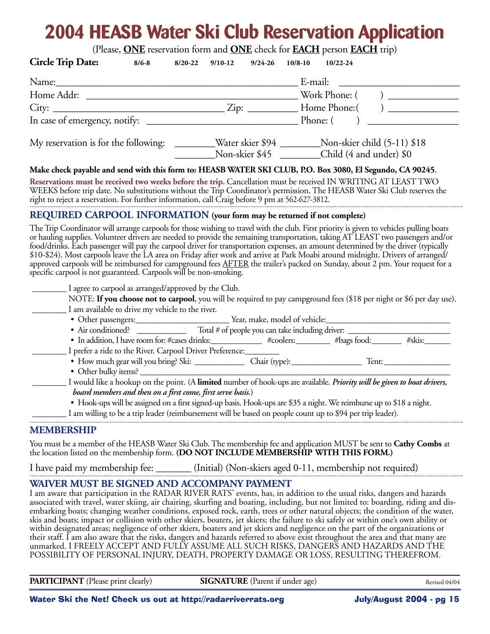## **2004 HEASB Water Ski Club Reservation Application**

(Please, **ONE** reservation form and **ONE** check for **EACH** person **EACH** trip)

| <b>Circle Trip Date:</b><br>$8/6 - 8$                                                                                                                                         | $8/20-22$ $9/10-12$ $9/24-26$ $10/8-10$ | (1 Rase, <b>OTTE</b> RSCIVATION FORM and <b>OTTE</b> CHCCK FOR LANCITY POISON LANCITY (HIP)<br>10/22-24                                                                                                                                                                                                                                                                                                                                                                                                                                                                                                                                                                   |
|-------------------------------------------------------------------------------------------------------------------------------------------------------------------------------|-----------------------------------------|---------------------------------------------------------------------------------------------------------------------------------------------------------------------------------------------------------------------------------------------------------------------------------------------------------------------------------------------------------------------------------------------------------------------------------------------------------------------------------------------------------------------------------------------------------------------------------------------------------------------------------------------------------------------------|
|                                                                                                                                                                               |                                         | E-mail:                                                                                                                                                                                                                                                                                                                                                                                                                                                                                                                                                                                                                                                                   |
| Home Addr: Work Phone: (                                                                                                                                                      |                                         |                                                                                                                                                                                                                                                                                                                                                                                                                                                                                                                                                                                                                                                                           |
|                                                                                                                                                                               |                                         |                                                                                                                                                                                                                                                                                                                                                                                                                                                                                                                                                                                                                                                                           |
|                                                                                                                                                                               |                                         | <u> 1986 - Jan Stein Stein Stein Stein Stein Stein Stein Stein Stein Stein Stein Stein Stein Stein Stein Stein S</u>                                                                                                                                                                                                                                                                                                                                                                                                                                                                                                                                                      |
| My reservation is for the following: _________Water skier \$94 ________Non-skier child (5-11) \$18                                                                            |                                         | Non-skier \$45 Child (4 and under) \$0                                                                                                                                                                                                                                                                                                                                                                                                                                                                                                                                                                                                                                    |
|                                                                                                                                                                               |                                         | Make check payable and send with this form to: HEASB WATER SKI CLUB, P.O. Box 3080, El Segundo, CA 90245.                                                                                                                                                                                                                                                                                                                                                                                                                                                                                                                                                                 |
|                                                                                                                                                                               |                                         | Reservations must be received two weeks before the trip. Cancellation must be received IN WRITING AT LEAST TWO<br>WEEKS before trip date. No substitutions without the Trip Coordinator's permission. The HEASB Water Ski Club reserves the<br>right to reject a reservation. For further information, call Craig before 9 pm at 562-627-3812.                                                                                                                                                                                                                                                                                                                            |
| REQUIRED CARPOOL INFORMATION (your form may be returned if not complete)                                                                                                      |                                         |                                                                                                                                                                                                                                                                                                                                                                                                                                                                                                                                                                                                                                                                           |
| specific carpool is not guaranteed. Carpools will be non-smoking.<br>I agree to carpool as arranged/approved by the Club.<br>I am available to drive my vehicle to the river. |                                         | or hauling supplies. Volunteer drivers are needed to provide the remaining transportation, taking AT LEAST two passengers and/or<br>food/drinks. Each passenger will pay the carpool driver for transportation expenses, an amount determined by the driver (typically<br>\$10-\$24). Most carpools leave the LA area on Friday after work and arrive at Park Moabi around midnight. Drivers of arranged/<br>approved carpools will be reimbursed for campground fees AFTER the trailer's packed on Sunday, about 2 pm. Your request for a<br>NOTE: If you choose not to carpool, you will be required to pay campground fees (\$18 per night or \$6 per day use).        |
|                                                                                                                                                                               |                                         |                                                                                                                                                                                                                                                                                                                                                                                                                                                                                                                                                                                                                                                                           |
|                                                                                                                                                                               |                                         | • In addition, I have room for: #cases drinks: _____________ #coolers: ________ #bags food: _______ #skis: ______                                                                                                                                                                                                                                                                                                                                                                                                                                                                                                                                                         |
| I prefer a ride to the River. Carpool Driver Preference:<br>• Other bulky items?                                                                                              |                                         |                                                                                                                                                                                                                                                                                                                                                                                                                                                                                                                                                                                                                                                                           |
| board members and then on a first come, first serve basis.)<br>I am willing to be a trip leader (reimbursement will be based on people count up to \$94 per trip leader).     |                                         | I would like a hookup on the point. (A limited number of hook-ups are available. Priority will be given to boat drivers,<br>• Hook-ups will be assigned on a first signed-up basis. Hook-ups are \$35 a night. We reimburse up to \$18 a night.                                                                                                                                                                                                                                                                                                                                                                                                                           |
| <b>MEMBERSHIP</b>                                                                                                                                                             |                                         |                                                                                                                                                                                                                                                                                                                                                                                                                                                                                                                                                                                                                                                                           |
| the location listed on the membership form. (DO NOT INCLUDE MEMBERSHIP WITH THIS FORM.)                                                                                       |                                         | You must be a member of the HEASB Water Ski Club. The membership fee and application MUST be sent to <b>Cathy Combs</b> at                                                                                                                                                                                                                                                                                                                                                                                                                                                                                                                                                |
| I have paid my membership fee: _______ (Initial) (Non-skiers aged 0-11, membership not required)                                                                              |                                         |                                                                                                                                                                                                                                                                                                                                                                                                                                                                                                                                                                                                                                                                           |
| WAIVER MUST BE SIGNED AND ACCOMPANY PAYMENT                                                                                                                                   |                                         | I am aware that participation in the RADAR RIVER RATS' events, has, in addition to the usual risks, dangers and hazards<br>associated with travel, water skiing, air chairing, skurfing and boating, including, but not limited to: boarding, riding and dis-<br>embarking boats; changing weather conditions, exposed rock, earth, trees or other natural objects; the condition of the water,<br>skis and boats; impact or collision with other skiers, boaters, jet skiers; the failure to ski safely or within one's own ability or<br>within designated areas; negligence of other skiers, boaters and jet skiers and negligence on the part of the organizations or |

within designated areas; negligence of other skiers, boaters and jet skiers and negligence on the part of the organizations or their staff. I am also aware that the risks, dangers and hazards referred to above exist throughout the area and that many are unmarked. I FREELY ACCEPT AND FULLY ASSUME ALL SUCH RISKS, DANGERS AND HAZARDS AND THE POSSIBILITY OF PERSONAL INJURY, DEATH, PROPERTY DAMAGE OR LOSS, RESULTING THEREFROM.

**PARTICIPANT** (Please print clearly) **SIGNATURE** (Parent if under age)

Revised 04/04